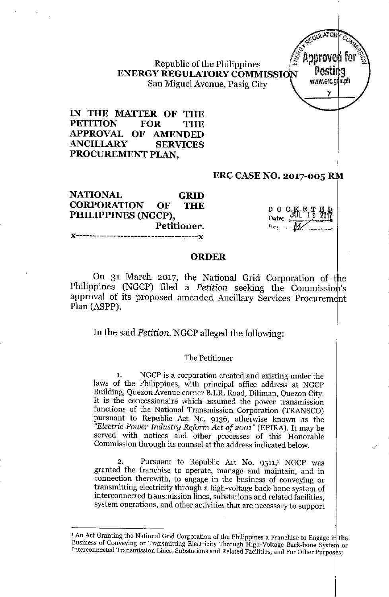Republic of the Philippines (5 *MPP* ENERGY REGULATORY COMMISSION POSURY San Miguel Avenue, Pasig City

IN THE MATTER OF THE PETITION FOR THE APPROVAL OF AMENDED ANCILLARY SERVICES PROCUREMENT PLAN,

#### ERC CASE NO. 2017-005

GRID THE NATIONAL CORPORATION OF PHILIPPINES (NGCP), Petitioner. ----------**-**x

| О | Ω       | $C_{\overline{J}}$ $K_{\overline{F}_1}$ $T_{\overline{S}_2}$ $R_{\overline{J}}$ |  |
|---|---------|---------------------------------------------------------------------------------|--|
|   | Date: . |                                                                                 |  |
|   |         |                                                                                 |  |

GUILATOR<sup>T</sup>  $\sim$   $\sim$ **CALLES 1999** Approved f

y

### ORDER

On 31 March 2017, the National Grid Corporation of the Philippines (NGCP) filed a *Petition* seeking the Commission's approval of its proposed amended Ancillary Services Procurement Plan (ASPP).

In the said *Petition,* NGCP alleged the following:

#### The Petitioner

1. NGCP is a corporation created and existing under the laws of the Philippines, with principal office address at NGCP Building, Quezon Avenue corner B.I.R. Road, Diliman, Quezon City. It is the concessionaire which assumed the power transmission functions of the National Transmission Corporation (TRANSCO) pursuant to Republic Act No. 9136, otherwise known as the *"Electric Power Industry Reform Act of 2001"* (EPlRA). It may be served with notices and other processes of this Honorable Commission through its counsel at the address indicated below.

Pursuant to Republic Act No. 9511,<sup>1</sup> NGCP was granted the franchise to operate, manage and maintain, and in connection therewith, to engage in the business of conveying or transmitting electricity through a high-voltage back-bone system of interconnected transmission lines, substations and related facilities, system operations, and other activities that are necessary to support

<sup>&</sup>lt;sup>1</sup> An Act Granting the National Grid Corporation of the Philippines a Franchise to Engage in the Business of Conveying or Transmitting Electricity Through High-Voltage Back-bone System or Interconnected Transmission Lines, Substations and Related Facilities, and For Other Purposes;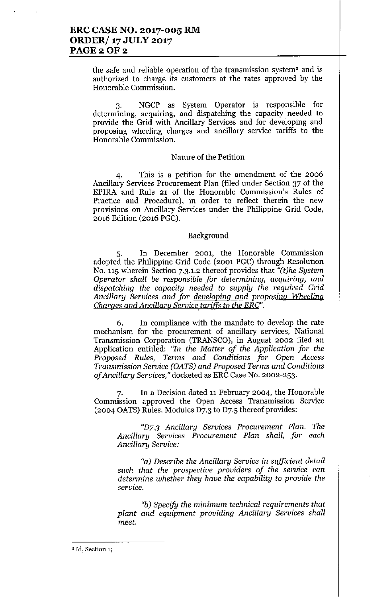**the safe and reliable operation of the transmission system<sup>2</sup> and is authorized to charge its customers at the rates approved by the Honorable Commission.**

3. NGCP as System Operator is responsible for **determining, acquiring, and dispatching the capacity needed to** provide the Grid with Ancillary Services and for developing and **proposing wheeling charges and ancillary service tariffs to the Honorable Commission.**

#### **Nature of the Petition**

**4. This is a petition for the amendment of the 2006** Ancillary Services Procurement Plan (filed under Section 37 of the **EPlRA and Rule 21 of the Honorable Commission's Rules of Practice and Procedure), in order to reflect therein the new provisions on Ancillary Services under the Philippine Grid Code,** 2016 Edition (2016 PGC).

#### Background

**5. In December 2001, the Honorable Commission** adopted the Philippine Grid Code (2001 PGC) through Resolution No. 115 wherein Section 7.3.1.2 thereof provides that  $''(t)$ he System *Operator shall be responsible for determining, acquiring, and dispatching the capacity needed* to *supply the required* Grid *Ancillary* Services *and for developing and proposing Wheeling Charges* and *Ancillary Service tariffs* to *the ERC*".

6. In compliance with the mandate to develop the rate **mechanism for the procurement of ancillary services, National Transmission Corporation (TRANSCO), in August 2002 filed an** Application entitled: *"In the Matter of the Application for the Proposed Rules, Terms and Conditions for Open Access Transmission Service (OATS) and Proposed Terms and Conditions of Ancillary Services,"* docketed as ERC Case No. 2002-253.

**7. In a Decision dated 11February 2004, the Honorable Commission approved the Open Access Transmission Service** (2004 OATS) Rules. Modules D7.3 to D7.5 thereof provides:

*"DY3 Ancillary Services Procurement Plan. The Ancillary Services Procurement Plan shall, for each Ancillary Service:*

*"a) Describe the Ancillary Service* **in** *sufficient detail such that the prospective providers of the service can determine whether they have the capability* to *provide the service.*

*"b)Specify the minimum technical requirements that plant and equipment providing Ancillary Services shall meet.*

<sup>2.</sup> **rd, Section 1;**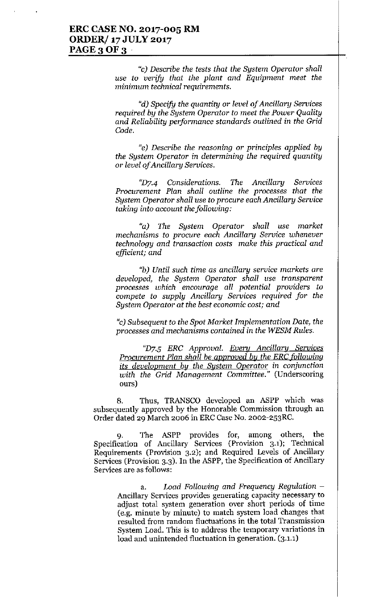"c) *Describe the tests that the System Operator shall use to verify that the plant and Equipment meet the minimum technical requirements.*

*"d) Specify the quantity or level of Ancillary Services required by the System Operator to meet the Power Quality and Reliability performance standards outlined in the Grid Code.*

*"e) Describe the reasoning* or *principles applied by the System Operator in determining the required quantity* **or** *level of Ancillary Services.*

*'<D7.4 Considerations. The Ancillary Services Procurement Plan shall outline the processes that the System Operator shall use to procure each Ancillary Service taking into account the following:* 

*"a) The System Operator shall use market mechanisms to procure each Ancillary Service whenever technology and transaction costs make this practical and efficient; and*

*"b) Until such time* **as** *ancillary service markets are developed, the System Operator shall use transparent processes which encourage all potential providers to compete to supply Ancillary Services required for the System Operator at the best economic cost; and*

"c) *Subsequent to the Spot Market Implementation Date, the processes and mechanisms contained in the WESM Rules.*

*"D7-5 ERC Approval. Every Ancillary Services Procurement Plan shall be approved by the ERC following its development by the System Operator in conjunction with the Grid Management Committee."* **(Underscoring** ours)

8. Thus, TRANSCO developed an ASPP which was **subsequently approved by the Honorable Commission through an** Order dated 29 March 2006 in ERC Case No. 2002-253RC.

9. The ASPP provides for, among others, the Specification of Ancillary Services (Provision 3.1); Technical Requirements (Provision 3.2); and Required Levels of Ancillary Services (Provision 3.3). In the ASPP, the Specification of Ancillary **Services are as follows:**

> a. *Load Following and Frequency Regulation -* **Ancillary Services provides generating capacity necessary to adjust total system generation over short periods of time (e.g. minute by minute) to match system load changes that resulted from random fluctuations in the total Transmission System Load. This is to address the temporary variations in load and unintended fluctuation in generation. (3.1.1)**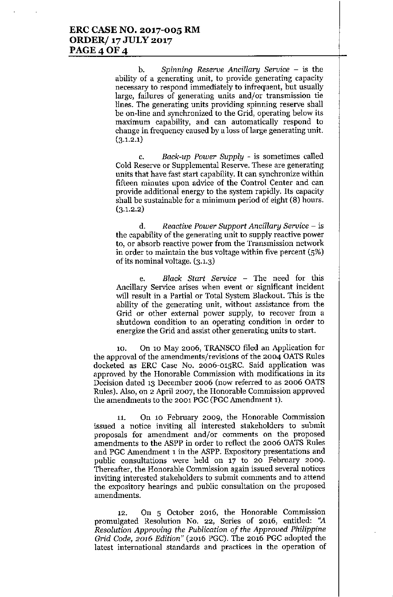b. *Spinning Reserve Ancillary Service -* is the ability of a generating unit, to provide generating capacity necessary to respond immediately to infrequent, but usually large, failures of generating units and/or transmission tie lines. The generating units providing spinning reserve shall be on-line and synchronized to the Grid, operating below its maximum capability, and can automatically respond to change in frequency caused by a loss of large generating unit.  $(3.1.2.1)$ 

c. *Back-up Power Supply -* is sometimes called Cold Reserve or Supplemental Reserve. These are generating units that have fast start capability. It can synchronize within fifteen minutes upon advice of the Control Center and can provide additional energy to the system rapidly. Its capacity shall be sustainable for a minimum period of eight (8) hours.  $(3.1.2.2)$ 

d. *Reactive Power Support Ancillary Service -* is the capability of the generating unit to supply reactive power to, or absorb reactive power from the Transmission network in order to maintain the bus voltage within five percent (5%) of its nominal voltage. (3.1.3)

e. *Black Start Service -* The need for this Ancillary Service arises when event or significant incident will result in a Partial or Total System Blackout. This is the ability of the generating unit, without assistance from the Grid or other external power supply, to recover from a shutdown condition to an operating condition in order to energize the Grid and assist other generating units to start.

10. On 10 May 2006, TRANSCO filed an Application for the approval of the amendments/revisions of the 2004 OATS Rules docketed as ERC Case No. 2006-01SRC. Said application was approved by the Honorable Commission with modifications in its Decision dated 13 December 2006 (now referred to as 2006 OATS Rules). Also, on 2 April 2007, the Honorable Commission approved the amendments to the 2001 PGC (PGC Amendment 1).

11. On 10 February 2009, the Honorable Commission issued a notice inviting all interested stakeholders to submit proposals for amendment and/or comments on the proposed amendments to the ASPP in order to reflect the 2006 OATS Rules and PGC Amendment 1in the ASPP. Expository presentations and public consultations were held on 17 to 20 February 2009. Thereafter, the Honorable Commission again issued several notices inviting interested stakeholders to submit comments and to attend the expository hearings and public consultation on the proposed amendments.

12. On 5 October 2016, the Honorable Commission promulgated Resolution No. 22, Series of 2016, entitled: "A *Resolution Approving the Publication of the Approved Philippine Grid Code,* 2016 *Edition"* (2016 PGC). The 2016 PGC adopted the latest international standards and practices in the operation of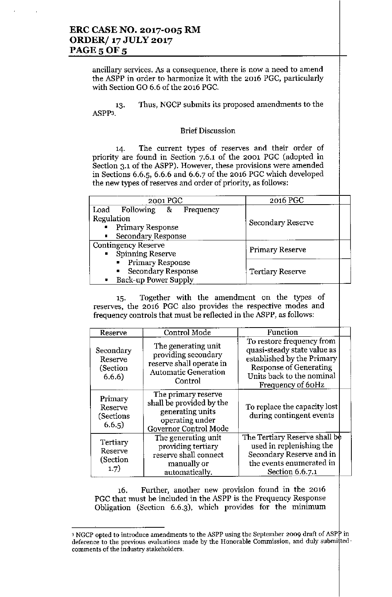## **ERC CASE NO. 2017-00S RM ORDER/ 17 JULY 2017 PAGE 5 OF 5**

**ancillary services. As a consequence, there is now a need to amend** the ASPP in order to harmonize it with the 2016 PGC, particularly with Section GO 6.6 of the 2016 PGC.

13. ASPP3. **Thus, NGCP submits its proposed amendments to the**

### **Brief Discussion**

**14. The current types of reserves and their order of** priority are found in Section 7.6.1 of the 2001 PGC (adopted in **Section 3.1 of the ASPP). However, these provisions were amended** in Sections 6.6.5, 6.6.6 and 6.6.7 of the 2016 PGC which developed **the new types of reserves and order of priority, as follows:**

| 2001 PGC                                    | 2016 PGC                |
|---------------------------------------------|-------------------------|
| Load Following & Frequency                  |                         |
| Regulation                                  | Secondary Reserve       |
| • Primary Response                          |                         |
| <b>Secondary Response</b><br>$\blacksquare$ |                         |
| <b>Contingency Reserve</b>                  |                         |
| • Spinning Reserve                          | <b>Primary Reserve</b>  |
| <b>Primary Response</b>                     |                         |
| <b>Secondary Response</b><br>$\blacksquare$ | <b>Tertiary Reserve</b> |
| Back-up Power Supply<br>$\blacksquare$      |                         |

15. Together with the amendment on the types of **reserves, the 2016 PGC also provides the respective modes and** frequency controls that must be reflected in the ASPP, as follows:

| Reserve                                    | Control Mode                                                                                                     | Function                                                                                                                                                                  |  |
|--------------------------------------------|------------------------------------------------------------------------------------------------------------------|---------------------------------------------------------------------------------------------------------------------------------------------------------------------------|--|
| Secondary<br>Reserve<br>(Section<br>6.6.6) | The generating unit<br>providing secondary<br>reserve shall operate in<br><b>Automatic Generation</b><br>Control | To restore frequency from<br>quasi-steady state value as<br>established by the Primary<br><b>Response of Generating</b><br>Units back to the nominal<br>Frequency of 60Hz |  |
| Primary<br>Reserve<br>(Sections)<br>6.6.5) | The primary reserve<br>shall be provided by the<br>generating units<br>operating under<br>Governor Control Mode  | To replace the capacity lost<br>during contingent events                                                                                                                  |  |
| Tertiary<br>Reserve<br>(Section<br>1.7)    | The generating unit<br>providing tertiary<br>reserve shall connect<br>manually or<br>automatically.              | The Tertiary Reserve shall be<br>used in replenishing the<br>Secondary Reserve and in<br>the events enumerated in<br>Section 6.6.7.1                                      |  |

**16. Further, another new provision found in the 2016** PGC that must be included in the ASPP is the Frequency Response **Obligation (Section 6.6.3), which provides for the minimum**

<sup>3</sup> **NGCP opted to introduce amendments to the ASPP using the September 2009 draft of ASP in deference to the previous evaluations made by the Honorable Commission, and duly submi ted. comments** of the **industry stakeholders.**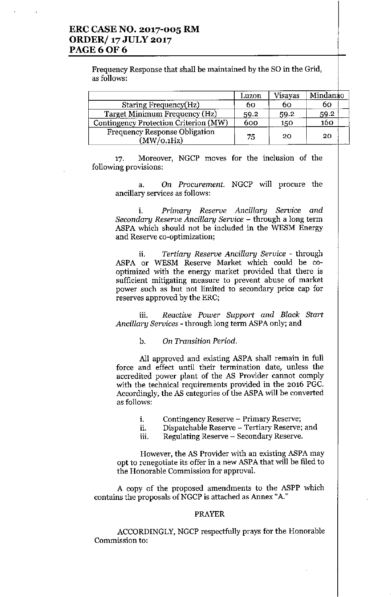## **ERC CASE NO. 2017-005 RM ORDER/ 17 JULY 2017 PAGE60F6**

Frequency Response that shall be maintained by the SO in the Grid, as follows:

|                                             | Luzon | Visayas | Mindanao |
|---------------------------------------------|-------|---------|----------|
| Staring Frequency(Hz)                       | 60    | 60      | 60       |
| Target Minimum Frequency (Hz)               | 59.2  | 59.2    | 59.2     |
| Contingency Protection Criterion (MW)       | 600   | 150     | 160      |
| Frequency Response Obligation<br>(MW/O.1Hz) | 75    | 20      | 20       |

**17. Moreover, NGCP moves for the inclusion of the following provisions:**

**a. On** *Procurement.* **NGCP will procure the ancillary services as follows:**

**i.** *Primary Reserve Ancillary Service and Secondary Reserve Ancillary Service -* **through a long term** ASPA which should not be included in the WESM Energy **and Reserve co-optimization;**

**n.** *Tertiary Reserve Ancillary Service -* **through** ASPA or WESM Reserve Market which could be cooptimized with the energy market provided that there is **sufficient mitigating measure to prevent abuse of market power such as but not limited to secondary price cap for** reserves approved by the ERC;

**iii.** *Reactive Power Support and Black Start Ancillary Services -* through long term ASPA only; and

b. *On Transition Period.*

All approved and existing ASPA shall remain in full **force and effect until their termination date, unless the accredited power plant of the AS Provider cannot comply with the technical requirements provided in the 2016 PGC.** Accordingly, the AS categories of the ASPA will be converted **as follows:**

- **i. Contingency Reserve - Primary Reserve;**
- **ii. Dispatchable Reserve - Tertiary Reserve; and**
- **lll. Regulating Reserve - Secondary Reserve.**

**However, the AS Provider with an existing** ASP A **may opt to renegotiate its offer in a new** ASP A **that will be filed to the Honorable Commission for approval.**

A copy of the proposed amendments to the ASPP which **contains the proposals ofNGCP is attached as Annex** *"A."*

#### PRAYER

ACCORDINGLY, NGCP respectfully prays for the Honorable **Commission to:**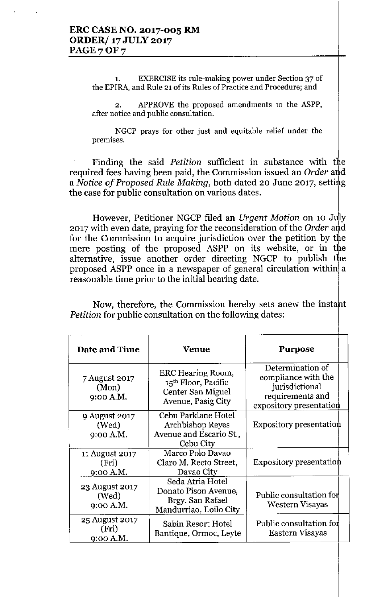1. EXERCISE its rule-making power under Section 37 of **the EPlRA, and Rule 21 of its Rules of Practice and Procedure; and**

2. APPROVE the proposed amendments to the ASPP, **after notice and public consultation.**

NGCP prays for other just and equitable relief under the **premises.**

Finding the said *Petition* sufficient in substance with the required fees having been paid, the Commission issued an Order and a *Notice* of *Proposed Rule Making*, both dated 20 June 2017, setting the case for public consultation on various dates.

However, Petitioner NGCP filed an *Urgent Motion* on 10 July 2017 with even date, praying for the reconsideration of the Order and for the Commission to acquire jurisdiction over the petition by the mere posting of the proposed ASPP on its website, or in the alternative, issue another order directing NGCP to publish the proposed ASPP once in a newspaper of general circulation within a reasonable time prior to the initial hearing date.

Now, therefore, the Commission hereby sets anew the instant *Petition* for public consultation on the following dates:

| Date and Time                        | Venue                                                                                   | <b>Purpose</b>                                                                                           |
|--------------------------------------|-----------------------------------------------------------------------------------------|----------------------------------------------------------------------------------------------------------|
| 7 August 2017<br>(Mon)<br>9:00 A.M.  | ERC Hearing Room,<br>15th Floor, Pacific<br>Center San Miguel<br>Avenue, Pasig City     | Determination of<br>compliance with the<br>jurisdictional<br>requirements and<br>expository presentation |
| 9 August 2017<br>(Wed)<br>9:00 A.M.  | Cebu Parklane Hotel<br>Archbishop Reyes<br>Avenue and Escario St.,<br>Cebu City         | Expository presentation                                                                                  |
| 11 August 2017<br>(Fri)<br>9:00 A.M. | Marco Polo Davao<br>Claro M. Recto Street,<br>Davao City                                | Expository presentation                                                                                  |
| 23 August 2017<br>(Wed)<br>9:00 A.M. | Seda Atria Hotel<br>Donato Pison Avenue,<br>Brgy. San Rafael<br>Mandurriao, Iloilo City | Public consultation for<br>Western Visayas                                                               |
| 25 August 2017<br>(Fri)<br>9:00 A.M. | Sabin Resort Hotel<br>Bantique, Ormoc, Leyte                                            | Public consultation for<br>Eastern Visayas                                                               |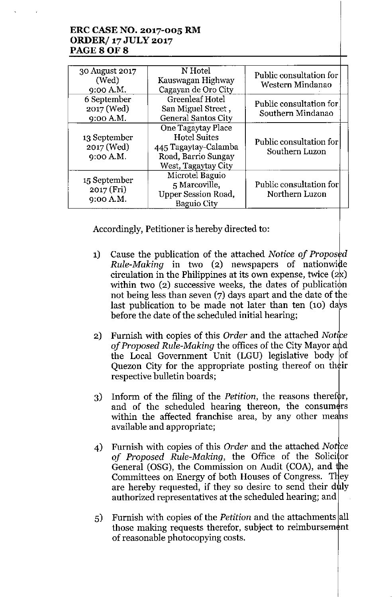# **ERC CASE NO. 2017-005 RM ORDER/ 17 JULY 2017 PAGE80F8**

| 30 August 2017<br>(Wed)<br>9:00 A.M.    | N Hotel<br>Kauswagan Highway<br>Cagayan de Oro City                                                             | Public consultation for<br>Western Mindanao  |
|-----------------------------------------|-----------------------------------------------------------------------------------------------------------------|----------------------------------------------|
| 6 September<br>2017 (Wed)<br>9:00 A.M.  | <b>Greenleaf Hotel</b><br>San Miguel Street,<br><b>General Santos City</b>                                      | Public consultation for<br>Southern Mindanao |
| 13 September<br>2017 (Wed)<br>9:00 A.M. | One Tagaytay Place<br><b>Hotel Suites</b><br>445 Tagaytay-Calamba<br>Road, Barrio Sungay<br>West, Tagaytay City | Public consultation for<br>Southern Luzon    |
| 15 September<br>2017 (Fri)<br>9:00 A.M. | Microtel Baguio<br>5 Marcoville,<br><b>Upper Session Road,</b><br><b>Baguio City</b>                            | Public consultation for<br>Northern Luzon    |

Accordingly, Petitioner is hereby directed to:

- 1) Cause the publication of the attached *Notice* of *Proposed Rule-Making* in two (2) newspapers of nationwide circulation in the Philippines at its own expense, twice  $(2x)$ within two  $(2)$  successive weeks, the dates of publication not being less than seven  $(7)$  days apart and the date of the last publication to be made not later than ten  $(10)$  days before the date of the scheduled initial hearing;
- 2) Furnish with copies of this *Order* and the attached *Notice of Proposed Rule-Making* the offices of the City Mayor and the Local Government Unit (LGU) legislative body of Quezon City for the appropriate posting thereof on their respective bulletin boards;
- 3) Inform of the filing of the *Petition*, the reasons therefor, and of the scheduled hearing thereon, the consumers within the affected franchise area, by any other means available and appropriate;
- 4) Furnish with copies of this *Order* and the attached *Notice of* Proposed Rule-Making, the Office of the Solicitor General (OSG), the Commission on Audit (COA), and the Committees on Energy of both Houses of Congress. They are hereby requested, if they so desire to send their duly authorized representatives at the scheduled hearing; and
- 5) Furnish with copies of the *Petition* and the attachments all those making requests therefor, subject to reimbursement of reasonable photocopying costs.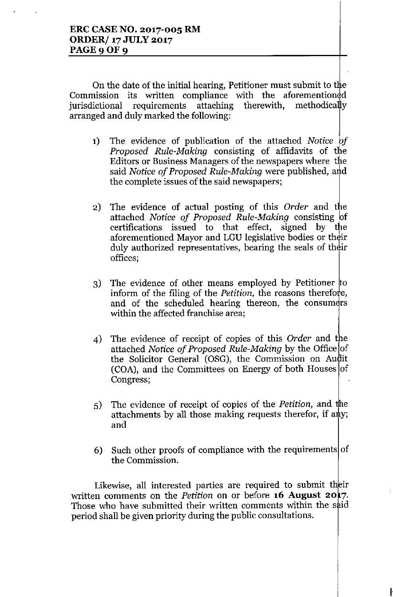On the date of the initial hearing, Petitioner must submit to the Commission its written compliance with the aforementioned<br>iurisdictional requirements attaching therewith. methodically jurisdictional requirements attaching therewith, arranged and duly marked the following:

- 1) The evidence of publication of the attached *Notice if Proposed Rule-Making* consisting of affidavits of the Editors or Business Managers of the newspapers where the said *Notice* of *Proposed Rule-Making* were published, and the complete issues of the said newspapers;
- 2) The evidence of actual posting of this *Order* and the attached *Notice of Proposed Rule-Making* consisting f certifications issued to that effect, signed by the aforementioned Mayor and LGU legislative bodies or their duly authorized representatives, bearing the seals of their offices;
- 3) The evidence of other means employed by Petitioner  $\uparrow$ inform of the filing of the *Petition*, the reasons therefore, and of the scheduled hearing thereon, the consumers within the affected franchise area;
- 4) The evidence of receipt of copies of this *Order* and the attached *Notice* of *Proposed Rule-Making* by the Office of the Solicitor General (OSG), the Commission on Audit  $(COA)$ , and the Committees on Energy of both Houses of Congress;
- 5) The evidence of receipt of copies of the *Petition*, and the attachments by all those making requests therefor, if any; and
- 6) Such other proofs of compliance with the requirements of the Commission.

Likewise, all interested parties are required to submit their written comments on the *Petition* on or before **16 August 20** 7. Those who have submitted their written comments within the said period shall be given priority during the public consultations.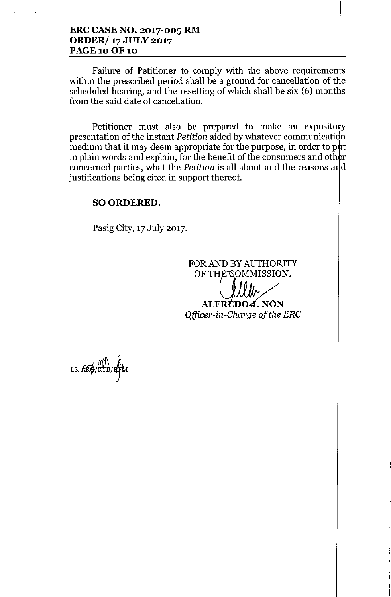## **ERC CASE NO. 2017-005 RM ORDER/ 17 JULY 2017 PAGE 10 OF 10**

Failure of Petitioner to comply with the above requirements within the prescribed period shall be a ground for cancellation of the scheduled hearing, and the resetting of which shall be  $six(6)$  months from the said date of cancellation.

Petitioner must also be prepared to make an expository presentation of the instant *Petition* aided by whatever communication medium that it may deem appropriate for the purpose, in order to put in plain words and explain, for the benefit of the consumers and other concerned parties, what the *Petition* is all about and the reasons and justifications being cited in support thereof.

# SO ORDERED.

Pasig City, 17 July 2017.

FOR AND BY AUTHORITY OF THE COMMISSION:

**ALFRÉDO***J***. NON** *Officer-in-Charge of the ERC*

f

LS: KRO/KTB/RFM